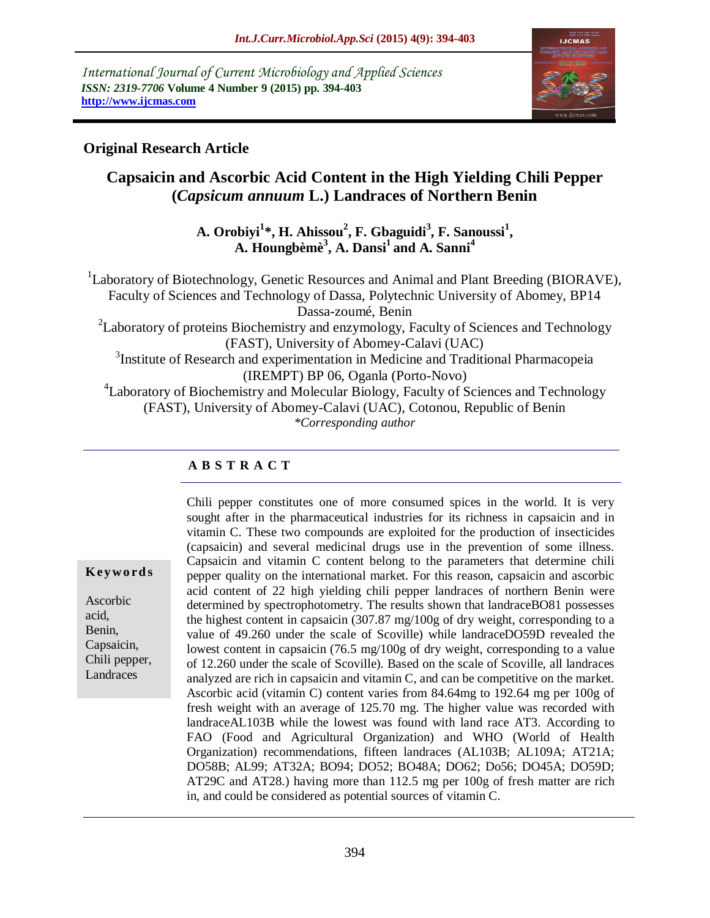*International Journal of Current Microbiology and Applied Sciences ISSN: 2319-7706* **Volume 4 Number 9 (2015) pp. 394-403 http://www.ijcmas.com** 



## **Original Research Article**

# **Capsaicin and Ascorbic Acid Content in the High Yielding Chili Pepper (***Capsicum annuum* **L.) Landraces of Northern Benin**

**A. Orobiyi<sup>1</sup> \*, H. Ahissou<sup>2</sup> , F. Gbaguidi<sup>3</sup> , F. Sanoussi<sup>1</sup> , A. Houngbèmè<sup>3</sup> , A. Dansi<sup>1</sup> and A. Sanni<sup>4</sup>**

<sup>1</sup>Laboratory of Biotechnology, Genetic Resources and Animal and Plant Breeding (BIORAVE), Faculty of Sciences and Technology of Dassa, Polytechnic University of Abomey, BP14 Dassa-zoumé, Benin  $2^2$ Laboratory of proteins Biochemistry and enzymology, Faculty of Sciences and Technology (FAST), University of Abomey-Calavi (UAC)

<sup>3</sup>Institute of Research and experimentation in Medicine and Traditional Pharmacopeia (IREMPT) BP 06, Oganla (Porto-Novo)

<sup>4</sup>Laboratory of Biochemistry and Molecular Biology, Faculty of Sciences and Technology (FAST), University of Abomey-Calavi (UAC), Cotonou, Republic of Benin *\*Corresponding author*

## **A B S T R A C T**

#### **K ey w o rd s**

Ascorbic acid, Benin, Capsaicin, Chili pepper, Landraces

Chili pepper constitutes one of more consumed spices in the world. It is very sought after in the pharmaceutical industries for its richness in capsaicin and in vitamin C. These two compounds are exploited for the production of insecticides (capsaicin) and several medicinal drugs use in the prevention of some illness. Capsaicin and vitamin C content belong to the parameters that determine chili pepper quality on the international market. For this reason, capsaicin and ascorbic acid content of 22 high yielding chili pepper landraces of northern Benin were determined by spectrophotometry. The results shown that landraceBO81 possesses the highest content in capsaicin  $(307.87 \text{ mg}/100 \text{g} \text{ of dry weight},$  corresponding to a value of 49.260 under the scale of Scoville) while landraceDO59D revealed the lowest content in capsaicin (76.5 mg/100g of dry weight, corresponding to a value of 12.260 under the scale of Scoville). Based on the scale of Scoville, all landraces analyzed are rich in capsaicin and vitamin C, and can be competitive on the market. Ascorbic acid (vitamin C) content varies from 84.64mg to 192.64 mg per 100g of fresh weight with an average of 125.70 mg. The higher value was recorded with landraceAL103B while the lowest was found with land race AT3. According to FAO (Food and Agricultural Organization) and WHO (World of Health Organization) recommendations, fifteen landraces (AL103B; AL109A; AT21A; DO58B; AL99; AT32A; BO94; DO52; BO48A; DO62; Do56; DO45A; DO59D; AT29C and AT28.) having more than 112.5 mg per 100g of fresh matter are rich in, and could be considered as potential sources of vitamin C.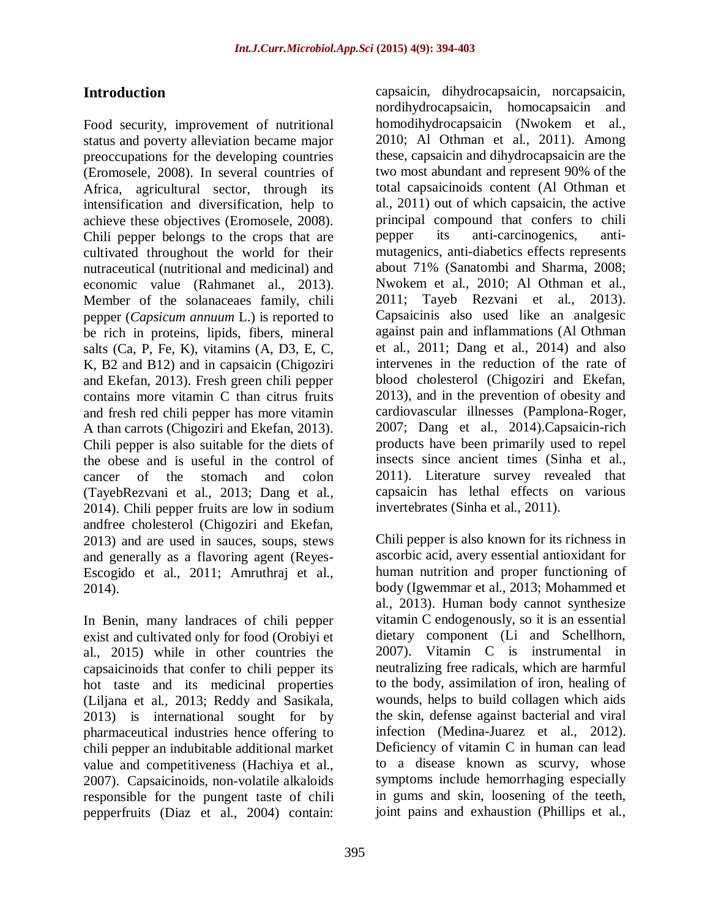## **Introduction**

Food security, improvement of nutritional status and poverty alleviation became major preoccupations for the developing countries (Eromosele, 2008). In several countries of Africa, agricultural sector, through its intensification and diversification, help to achieve these objectives (Eromosele, 2008). Chili pepper belongs to the crops that are cultivated throughout the world for their nutraceutical (nutritional and medicinal) and economic value [\(Rahmane](http://link.springer.com/search?facet-creator=%22Mohammad+Shafiur+Rahman%22)t al., 2013). Member of the solanaceaes family, chili pepper (*Capsicum annuum* L.) is reported to be rich in proteins, lipids, fibers, mineral salts (Ca, P, Fe, K), vitamins (A, D3, E, C, K, B2 and B12) and in capsaicin (Chigoziri and Ekefan, 2013). Fresh green chili pepper contains more vitamin C than citrus fruits and fresh red chili pepper has more vitamin A than carrots (Chigoziri and Ekefan, 2013). Chili pepper is also suitable for the diets of the obese and is useful in the control of cancer of the stomach and colon (TayebRezvani et al., 2013; Dang et al., 2014). Chili pepper fruits are low in sodium andfree cholesterol (Chigoziri and Ekefan, 2013) and are used in sauces, soups, stews and generally as a flavoring agent (Reyes-Escogido et al., 2011; Amruthraj et al., 2014).

In Benin, many landraces of chili pepper exist and cultivated only for food (Orobiyi et al., 2015) while in other countries the capsaicinoids that confer to chili pepper its hot taste and its medicinal properties (Liljana et al., 2013; Reddy and Sasikala, 2013) is international sought for by pharmaceutical industries hence offering to chili pepper an indubitable additional market value and competitiveness (Hachiya et al., 2007). Capsaicinoids, non-volatile alkaloids responsible for the pungent taste of chili pepperfruits (Diaz et al., 2004) contain:

capsaicin, dihydrocapsaicin, norcapsaicin, nordihydrocapsaicin, homocapsaicin and homodihydrocapsaicin (Nwokem et al., 2010; Al Othman et al., 2011). Among these, capsaicin and dihydrocapsaicin are the two most abundant and represent 90% of the total capsaicinoids content (Al Othman et al., 2011) out of which capsaicin, the active principal compound that confers to chili pepper its anti-carcinogenics, antimutagenics, anti-diabetics effects represents about 71% (Sanatombi and Sharma, 2008; Nwokem et al., 2010; Al Othman et al., 2011; Tayeb Rezvani et al., 2013). Capsaicinis also used like an analgesic against pain and inflammations (Al Othman et al., 2011; Dang et al., 2014) and also intervenes in the reduction of the rate of blood cholesterol (Chigoziri and Ekefan, 2013), and in the prevention of obesity and cardiovascular illnesses (Pamplona-Roger, 2007; Dang et al., 2014).Capsaicin-rich products have been primarily used to repel insects since ancient times (Sinha et al., 2011). Literature survey revealed that capsaicin has lethal effects on various invertebrates (Sinha et al., 2011).

Chili pepper is also known for its richness in ascorbic acid, avery essential antioxidant for human nutrition and proper functioning of body (Igwemmar et al., 2013; Mohammed et al., 2013). Human body cannot synthesize vitamin C endogenously, so it is an essential dietary component (Li and Schellhorn, 2007). Vitamin C is instrumental in neutralizing free radicals, which are harmful to the body, assimilation of iron, healing of wounds, helps to build collagen which aids the skin, defense against bacterial and viral infection (Medina-Juarez et al., 2012). Deficiency of vitamin C in human can lead to a disease known as scurvy, whose symptoms include hemorrhaging especially in gums and skin, loosening of the teeth, joint pains and exhaustion (Phillips et al.,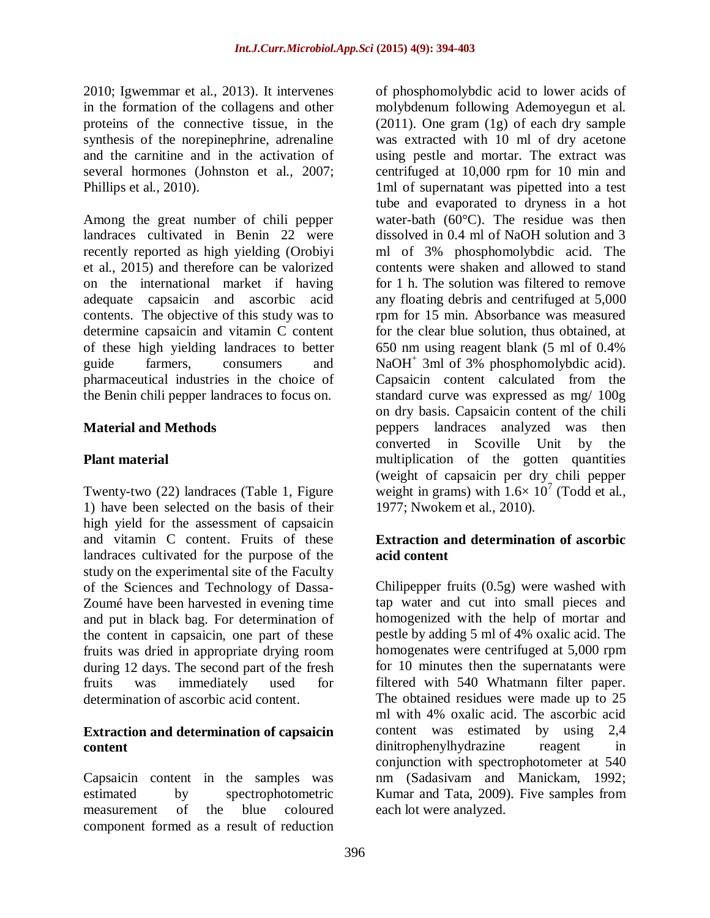2010; Igwemmar et al., 2013). It intervenes in the formation of the collagens and other proteins of the connective tissue, in the synthesis of the norepinephrine, adrenaline and the carnitine and in the activation of several hormones (Johnston et al., 2007; Phillips et al., 2010).

Among the great number of chili pepper landraces cultivated in Benin 22 were recently reported as high yielding (Orobiyi et al., 2015) and therefore can be valorized on the international market if having adequate capsaicin and ascorbic acid contents. The objective of this study was to determine capsaicin and vitamin C content of these high yielding landraces to better guide farmers, consumers and pharmaceutical industries in the choice of the Benin chili pepper landraces to focus on.

## **Material and Methods**

## **Plant material**

Twenty-two (22) landraces (Table 1, Figure 1) have been selected on the basis of their high yield for the assessment of capsaicin and vitamin C content. Fruits of these landraces cultivated for the purpose of the study on the experimental site of the Faculty of the Sciences and Technology of Dassa-Zoumé have been harvested in evening time and put in black bag. For determination of the content in capsaicin, one part of these fruits was dried in appropriate drying room during 12 days. The second part of the fresh fruits was immediately used for determination of ascorbic acid content.

#### **Extraction and determination of capsaicin content**

Capsaicin content in the samples was estimated by spectrophotometric measurement of the blue coloured component formed as a result of reduction of phosphomolybdic acid to lower acids of molybdenum following Ademoyegun et al. (2011). One gram (1g) of each dry sample was extracted with 10 ml of dry acetone using pestle and mortar. The extract was centrifuged at 10,000 rpm for 10 min and 1ml of supernatant was pipetted into a test tube and evaporated to dryness in a hot water-bath (60°C). The residue was then dissolved in 0.4 ml of NaOH solution and 3 ml of 3% phosphomolybdic acid. The contents were shaken and allowed to stand for 1 h. The solution was filtered to remove any floating debris and centrifuged at 5,000 rpm for 15 min. Absorbance was measured for the clear blue solution, thus obtained, at 650 nm using reagent blank (5 ml of 0.4% NaOH<sup>+</sup> 3ml of 3% phosphomolybdic acid). Capsaicin content calculated from the standard curve was expressed as mg/ 100g on dry basis. Capsaicin content of the chili peppers landraces analyzed was then converted in Scoville Unit by the multiplication of the gotten quantities (weight of capsaicin per dry chili pepper weight in grams) with  $1.6 \times 10^7$  (Todd et al., 1977; Nwokem et al., 2010).

### **Extraction and determination of ascorbic acid content**

Chilipepper fruits (0.5g) were washed with tap water and cut into small pieces and homogenized with the help of mortar and pestle by adding 5 ml of 4% oxalic acid. The homogenates were centrifuged at 5,000 rpm for 10 minutes then the supernatants were filtered with 540 Whatmann filter paper. The obtained residues were made up to 25 ml with 4% oxalic acid. The ascorbic acid content was estimated by using 2,4 dinitrophenylhydrazine reagent in conjunction with spectrophotometer at 540 nm (Sadasivam and Manickam, 1992; Kumar and Tata, 2009). Five samples from each lot were analyzed.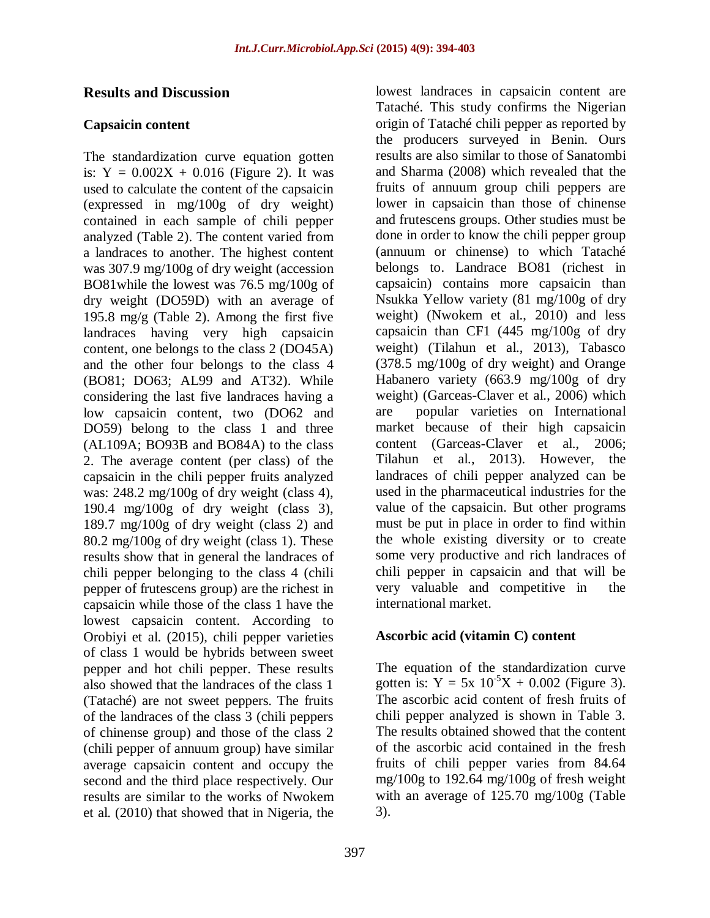### **Results and Discussion**

#### **Capsaicin content**

The standardization curve equation gotten is:  $Y = 0.002X + 0.016$  (Figure 2). It was used to calculate the content of the capsaicin (expressed in mg/100g of dry weight) contained in each sample of chili pepper analyzed (Table 2). The content varied from a landraces to another. The highest content was 307.9 mg/100g of dry weight (accession BO81while the lowest was 76.5 mg/100g of dry weight (DO59D) with an average of 195.8 mg/g (Table 2). Among the first five landraces having very high capsaicin content, one belongs to the class 2 (DO45A) and the other four belongs to the class 4 (BO81; DO63; AL99 and AT32). While considering the last five landraces having a low capsaicin content, two (DO62 and DO59) belong to the class 1 and three (AL109A; BO93B and BO84A) to the class 2. The average content (per class) of the capsaicin in the chili pepper fruits analyzed was: 248.2 mg/100g of dry weight (class 4), 190.4 mg/100g of dry weight (class 3), 189.7 mg/100g of dry weight (class 2) and 80.2 mg/100g of dry weight (class 1). These results show that in general the landraces of chili pepper belonging to the class 4 (chili pepper of frutescens group) are the richest in capsaicin while those of the class 1 have the lowest capsaicin content. According to Orobiyi et al. (2015), chili pepper varieties of class 1 would be hybrids between sweet pepper and hot chili pepper. These results also showed that the landraces of the class 1 (Tataché) are not sweet peppers. The fruits of the landraces of the class 3 (chili peppers of chinense group) and those of the class 2 (chili pepper of annuum group) have similar average capsaicin content and occupy the second and the third place respectively. Our results are similar to the works of Nwokem et al. (2010) that showed that in Nigeria, the

lowest landraces in capsaicin content are Tataché. This study confirms the Nigerian origin of Tataché chili pepper as reported by the producers surveyed in Benin. Ours results are also similar to those of Sanatombi and Sharma (2008) which revealed that the fruits of annuum group chili peppers are lower in capsaicin than those of chinense and frutescens groups. Other studies must be done in order to know the chili pepper group (annuum or chinense) to which Tataché belongs to. Landrace BO81 (richest in capsaicin) contains more capsaicin than Nsukka Yellow variety (81 mg/100g of dry weight) (Nwokem et al., 2010) and less capsaicin than CF1 (445 mg/100g of dry weight) (Tilahun et al., 2013), Tabasco (378.5 mg/100g of dry weight) and Orange Habanero variety (663.9 mg/100g of dry weight) (Garceas-Claver et al., 2006) which are popular varieties on International market because of their high capsaicin content (Garceas-Claver et al., 2006; Tilahun et al., 2013). However, the landraces of chili pepper analyzed can be used in the pharmaceutical industries for the value of the capsaicin. But other programs must be put in place in order to find within the whole existing diversity or to create some very productive and rich landraces of chili pepper in capsaicin and that will be very valuable and competitive in the international market.

### **Ascorbic acid (vitamin C) content**

The equation of the standardization curve gotten is:  $Y = 5x \ 10^{-5}X + 0.002$  (Figure 3). The ascorbic acid content of fresh fruits of chili pepper analyzed is shown in Table 3. The results obtained showed that the content of the ascorbic acid contained in the fresh fruits of chili pepper varies from 84.64 mg/100g to 192.64 mg/100g of fresh weight with an average of 125.70 mg/100g (Table 3).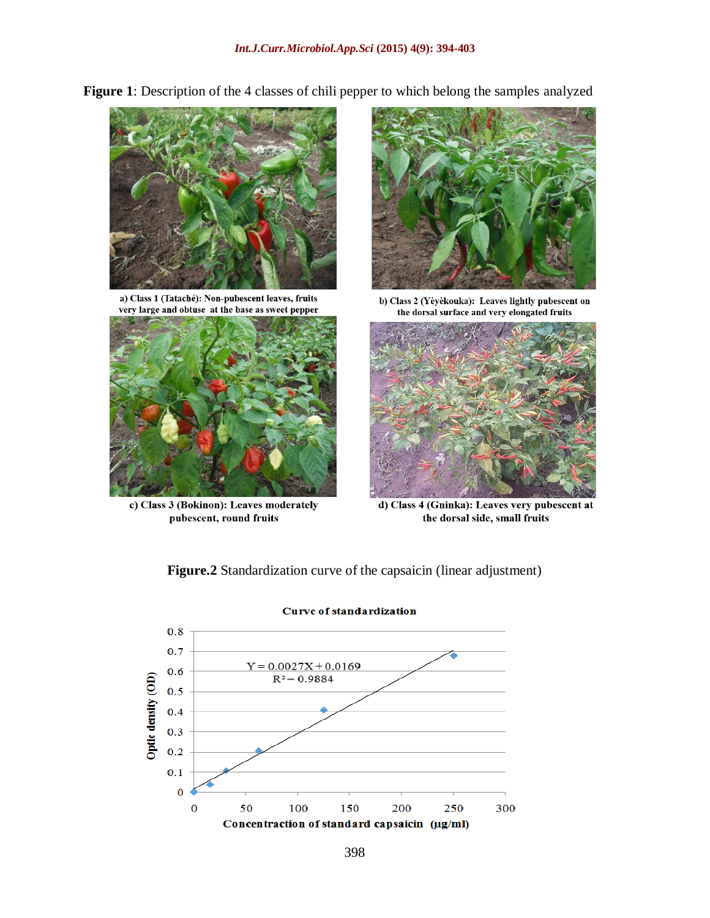**Figure 1**: Description of the 4 classes of chili pepper to which belong the samples analyzed



a) Class 1 (Tataché): Non-pubescent leaves, fruits very large and obtuse at the base as sweet pepper



c) Class 3 (Bokinon): Leaves moderately pubescent, round fruits



b) Class 2 (Yèyèkouka): Leaves lightly pubescent on the dorsal surface and very elongated fruits



d) Class 4 (Gninka): Leaves very pubescent at the dorsal side, small fruits

**Figure.2** Standardization curve of the capsaicin (linear adjustment)



**Curve of standardization**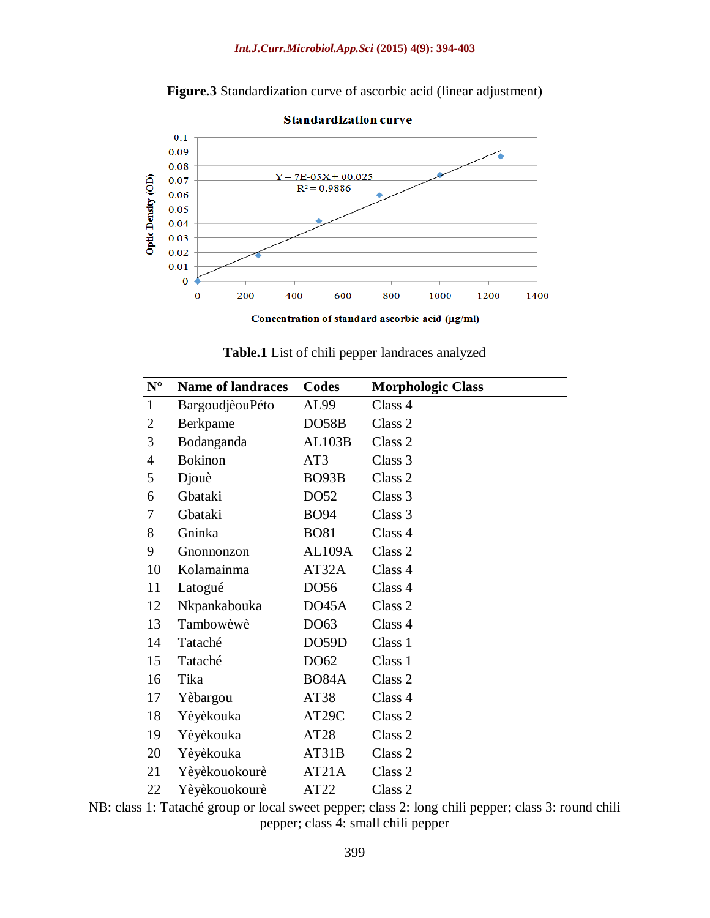



**Table.1** List of chili pepper landraces analyzed

| $N^{\circ}$    | <b>Name of landraces</b> | Codes              | <b>Morphologic Class</b> |
|----------------|--------------------------|--------------------|--------------------------|
| $\mathbf{1}$   | BargoudjèouPéto          | AL99               | Class 4                  |
| $\overline{2}$ | Berkpame                 | DO58B              | Class <sub>2</sub>       |
| 3              | Bodanganda               | <b>AL103B</b>      | Class 2                  |
| $\overline{4}$ | <b>Bokinon</b>           | AT3                | Class 3                  |
| 5              | Djouè                    | BO <sub>93</sub> B | Class <sub>2</sub>       |
| 6              | Gbataki                  | DO52               | Class 3                  |
| 7              | Gbataki                  | <b>BO94</b>        | Class 3                  |
| 8              | Gninka                   | <b>BO81</b>        | Class 4                  |
| 9              | Gnonnonzon               | AL109A             | Class 2                  |
| 10             | Kolamainma               | AT32A              | Class 4                  |
| 11             | Latogué                  | DO56               | Class 4                  |
| 12             | Nkpankabouka             | DO45A              | Class 2                  |
| 13             | Tambowèwè                | DO63               | Class 4                  |
| 14             | Tataché                  | DO59D              | Class 1                  |
| 15             | Tataché                  | DO62               | Class 1                  |
| 16             | Tika                     | <b>BO84A</b>       | Class 2                  |
| 17             | Yèbargou                 | AT38               | Class 4                  |
| 18             | Yèyèkouka                | AT29C              | Class 2                  |
| 19             | Yèyèkouka                | AT28               | Class 2                  |
| 20             | Yèyèkouka                | AT31B              | Class 2                  |
| 21             | Yèyèkouokourè            | AT21A              | Class 2                  |
| 22             | Yèyèkouokourè            | AT22               | Class 2                  |

NB: class 1: Tataché group or local sweet pepper; class 2: long chili pepper; class 3: round chili pepper; class 4: small chili pepper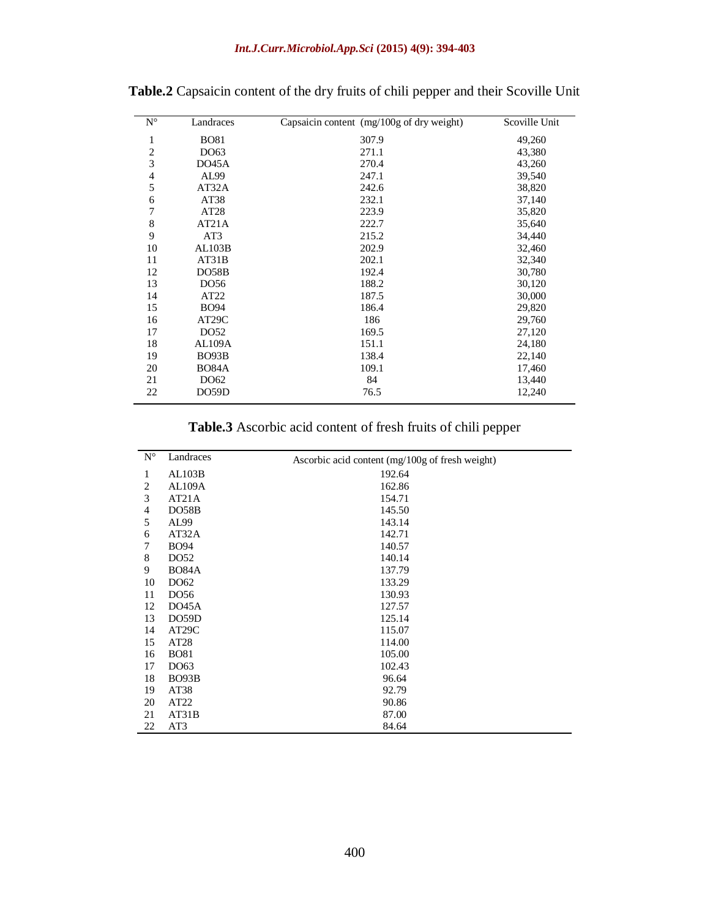| $\mathbf{N}^{\circ}$    | Landraces          | Capsaicin content $(mg/100g)$ of dry weight) | Scoville Unit |
|-------------------------|--------------------|----------------------------------------------|---------------|
| 1                       | <b>BO81</b>        | 307.9                                        | 49,260        |
| $\overline{\mathbf{c}}$ | DO63               | 271.1                                        | 43,380        |
| 3                       | DO45A              | 270.4                                        | 43,260        |
| 4                       | AL99               | 247.1                                        | 39,540        |
| 5                       | AT32A              | 242.6                                        | 38,820        |
| 6                       | AT38               | 232.1                                        | 37,140        |
| 7                       | AT <sub>28</sub>   | 223.9                                        | 35,820        |
| 8                       | AT21A              | 222.7                                        | 35,640        |
| 9                       | AT3                | 215.2                                        | 34,440        |
| 10                      | AL103B             | 202.9                                        | 32,460        |
| 11                      | AT31B              | 202.1                                        | 32,340        |
| 12                      | DO58B              | 192.4                                        | 30,780        |
| 13                      | DO56               | 188.2                                        | 30,120        |
| 14                      | AT22               | 187.5                                        | 30,000        |
| 15                      | <b>BO94</b>        | 186.4                                        | 29,820        |
| 16                      | AT <sub>29</sub> C | 186                                          | 29,760        |
| 17                      | DO52               | 169.5                                        | 27,120        |
| 18                      | AL109A             | 151.1                                        | 24,180        |
| 19                      | BO <sub>93</sub> B | 138.4                                        | 22,140        |
| 20                      | <b>BO84A</b>       | 109.1                                        | 17,460        |
| 21                      | DO62               | 84                                           | 13,440        |
| 22                      | DO59D              | 76.5                                         | 12,240        |

**Table.2** Capsaicin content of the dry fruits of chili pepper and their Scoville Unit

**Table.3** Ascorbic acid content of fresh fruits of chili pepper

| $N^{\circ}$    | Landraces          | Ascorbic acid content $(mg/100g)$ of fresh weight) |
|----------------|--------------------|----------------------------------------------------|
| 1              | AL103B             | 192.64                                             |
| $\overline{2}$ | AL109A             | 162.86                                             |
| 3              | AT21A              | 154.71                                             |
| $\overline{4}$ | DO58B              | 145.50                                             |
| 5              | AL99               | 143.14                                             |
| 6              | AT32A              | 142.71                                             |
| 7              | <b>BO94</b>        | 140.57                                             |
| 8              | DO52               | 140.14                                             |
| 9              | <b>BO84A</b>       | 137.79                                             |
| 10             | DO62               | 133.29                                             |
| 11             | DO56               | 130.93                                             |
| 12             | DO45A              | 127.57                                             |
| 13             | DO59D              | 125.14                                             |
| 14             | AT <sub>29</sub> C | 115.07                                             |
| 15             | AT <sub>28</sub>   | 114.00                                             |
| 16             | <b>BO81</b>        | 105.00                                             |
| 17             | DO63               | 102.43                                             |
| 18             | BO93B              | 96.64                                              |
| 19             | AT38               | 92.79                                              |
| 20             | AT22               | 90.86                                              |
| 21             | AT31B              | 87.00                                              |
| 22             | AT3                | 84.64                                              |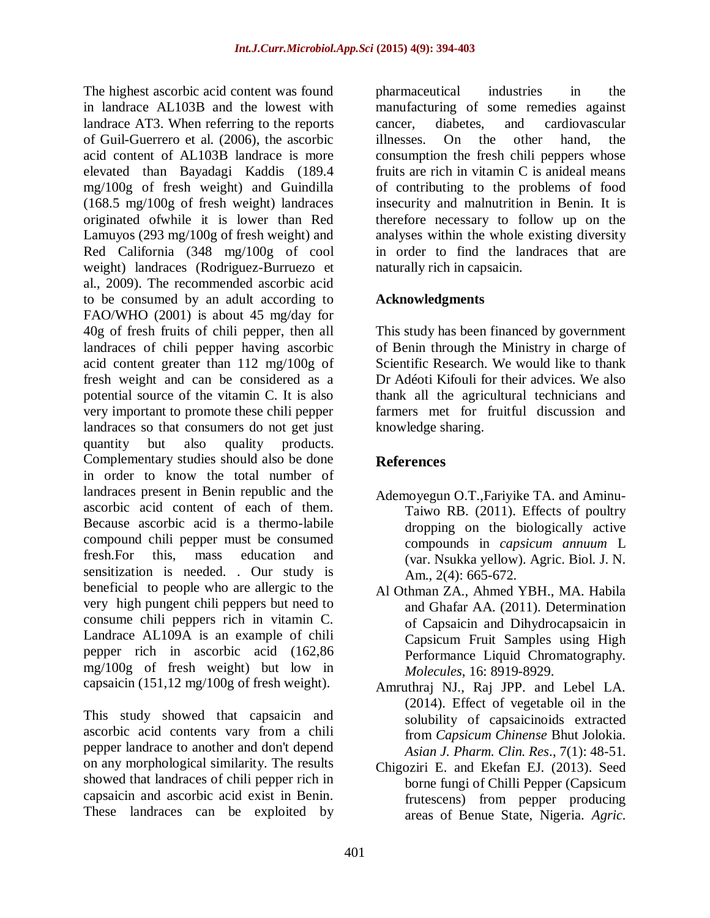The highest ascorbic acid content was found in landrace AL103B and the lowest with landrace AT3. When referring to the reports of Guil-Guerrero et al. (2006), the ascorbic acid content of AL103B landrace is more elevated than Bayadagi Kaddis (189.4 mg/100g of fresh weight) and Guindilla (168.5 mg/100g of fresh weight) landraces originated ofwhile it is lower than Red Lamuyos (293 mg/100g of fresh weight) and Red California (348 mg/100g of cool weight) landraces (Rodriguez-Burruezo et al., 2009). The recommended ascorbic acid to be consumed by an adult according to FAO/WHO (2001) is about 45 mg/day for 40g of fresh fruits of chili pepper, then all landraces of chili pepper having ascorbic acid content greater than 112 mg/100g of fresh weight and can be considered as a potential source of the vitamin C. It is also very important to promote these chili pepper landraces so that consumers do not get just quantity but also quality products. Complementary studies should also be done in order to know the total number of landraces present in Benin republic and the ascorbic acid content of each of them. Because ascorbic acid is a thermo-labile compound chili pepper must be consumed fresh.For this, mass education and sensitization is needed. . Our study is beneficial to people who are allergic to the very high pungent chili peppers but need to consume chili peppers rich in vitamin C. Landrace AL109A is an example of chili pepper rich in ascorbic acid (162,86 mg/100g of fresh weight) but low in capsaicin (151,12 mg/100g of fresh weight).

This study showed that capsaicin and ascorbic acid contents vary from a chili pepper landrace to another and don't depend on any morphological similarity. The results showed that landraces of chili pepper rich in capsaicin and ascorbic acid exist in Benin. These landraces can be exploited by

pharmaceutical industries in the manufacturing of some remedies against cancer, diabetes, and cardiovascular illnesses. On the other hand, the consumption the fresh chili peppers whose fruits are rich in vitamin C is anideal means of contributing to the problems of food insecurity and malnutrition in Benin. It is therefore necessary to follow up on the analyses within the whole existing diversity in order to find the landraces that are naturally rich in capsaicin.

## **Acknowledgments**

This study has been financed by government of Benin through the Ministry in charge of Scientific Research. We would like to thank Dr Adéoti Kifouli for their advices. We also thank all the agricultural technicians and farmers met for fruitful discussion and knowledge sharing.

## **References**

- Ademoyegun O.T.,Fariyike TA. and Aminu-Taiwo RB. (2011). Effects of poultry dropping on the biologically active compounds in *capsicum annuum* L (var. Nsukka yellow). Agric. Biol. J. N. Am., 2(4): 665-672.
- Al Othman ZA., Ahmed YBH., MA. Habila and Ghafar AA. (2011). Determination of Capsaicin and Dihydrocapsaicin in Capsicum Fruit Samples using High Performance Liquid Chromatography. *Molecules*, 16: 8919-8929.
- Amruthraj NJ., Raj JPP. and Lebel LA. (2014). Effect of vegetable oil in the solubility of capsaicinoids extracted from *Capsicum Chinense* Bhut Jolokia. *Asian J. Pharm. Clin. Res*., 7(1): 48-51.
- Chigoziri E. and Ekefan EJ. (2013). Seed borne fungi of Chilli Pepper (Capsicum frutescens) from pepper producing areas of Benue State, Nigeria. *Agric.*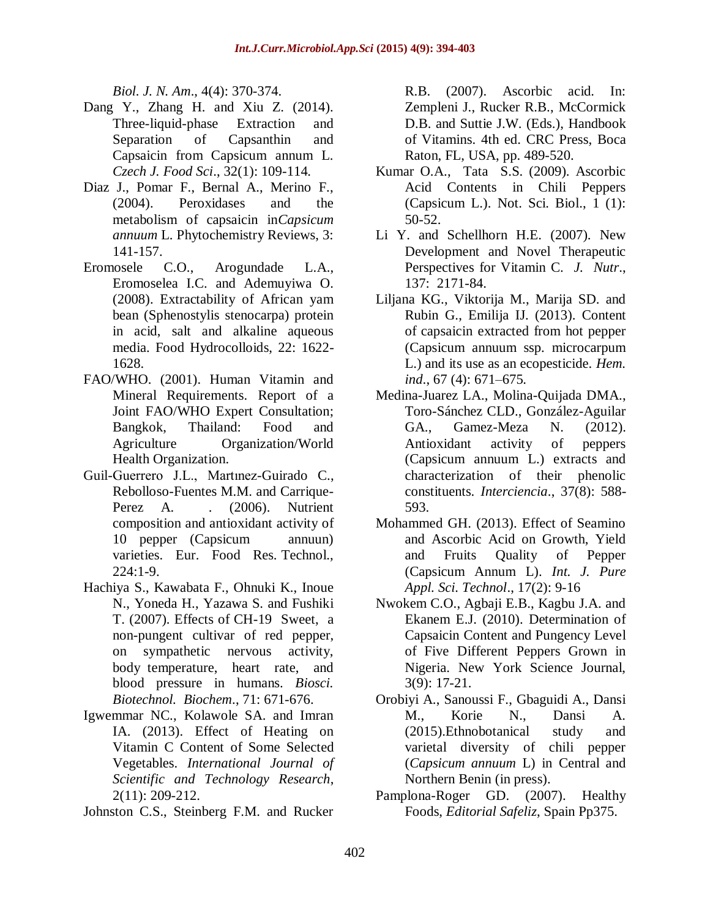*Biol. J. N. Am*., 4(4): 370-374.

- Dang Y., Zhang H. and Xiu Z. (2014). Three-liquid-phase Extraction and Separation of Capsanthin and Capsaicin from Capsicum annum L. *Czech J. Food Sci*., 32(1): 109-114.
- Diaz J., Pomar F., Bernal A., Merino F., (2004). Peroxidases and the metabolism of capsaicin in*Capsicum annuum* L. Phytochemistry Reviews, 3: 141-157.
- Eromosele C.O., Arogundade L.A., Eromoselea I.C. and Ademuyiwa O. (2008). Extractability of African yam bean (Sphenostylis stenocarpa) protein in acid, salt and alkaline aqueous media. Food Hydrocolloids, 22: 1622- 1628.
- FAO/WHO. (2001). Human Vitamin and Mineral Requirements. Report of a Joint FAO/WHO Expert Consultation; Bangkok, Thailand: Food and Agriculture Organization/World Health Organization.
- Guil-Guerrero J.L., Martınez-Guirado C., Rebolloso-Fuentes M.M. and Carrique-Perez A. . (2006). Nutrient composition and antioxidant activity of 10 pepper (Capsicum annuun) varieties. Eur. Food Res. Technol., 224:1-9.
- Hachiya S., Kawabata F., Ohnuki K., Inoue N., Yoneda H., Yazawa S. and Fushiki T. (2007). Effects of CH-19 Sweet, a non-pungent cultivar of red pepper, on sympathetic nervous activity, body temperature, heart rate, and blood pressure in humans. *Biosci. Biotechnol. Biochem*., 71: 671-676.
- Igwemmar NC., Kolawole SA. and Imran IA. (2013). Effect of Heating on Vitamin C Content of Some Selected Vegetables. *International Journal of Scientific and Technology Research*, 2(11): 209-212.
- Johnston C.S., Steinberg F.M. and Rucker

R.B. (2007). Ascorbic acid. In: Zempleni J., Rucker R.B., McCormick D.B. and Suttie J.W. (Eds.), Handbook of Vitamins. 4th ed. CRC Press, Boca Raton, FL, USA, pp. 489-520.

- Kumar O.A., Tata S.S. (2009). Ascorbic Acid Contents in Chili Peppers (Capsicum L.). Not. Sci. Biol., 1 (1): 50-52.
- Li Y. and Schellhorn H.E. (2007). New Development and Novel Therapeutic Perspectives for Vitamin C. *J. Nutr*., 137: 2171-84.
- Liljana KG., Viktorija M., Marija SD. and Rubin G., Emilija IJ. (2013). Content of capsaicin extracted from hot pepper (Capsicum annuum ssp. microcarpum L.) and its use as an ecopesticide. *Hem. ind*., 67 (4): 671–675.
- Medina-Juarez LA., Molina-Quijada DMA., Toro-Sánchez CLD., González-Aguilar GA., Gamez-Meza N. (2012). Antioxidant activity of peppers (Capsicum annuum L.) extracts and characterization of their phenolic constituents. *Interciencia*., 37(8): 588- 593.
- Mohammed GH. (2013). Effect of Seamino and Ascorbic Acid on Growth, Yield and Fruits Quality of Pepper (Capsicum Annum L). *Int. J. Pure Appl. Sci. Technol*., 17(2): 9-16
- Nwokem C.O., Agbaji E.B., Kagbu J.A. and Ekanem E.J. (2010). Determination of Capsaicin Content and Pungency Level of Five Different Peppers Grown in Nigeria. New York Science Journal, 3(9): 17-21.
- Orobiyi A., Sanoussi F., Gbaguidi A., Dansi M., Korie N., Dansi A. (2015).Ethnobotanical study and varietal diversity of chili pepper (*Capsicum annuum* L) in Central and Northern Benin (in press).
- Pamplona-Roger GD. (2007). Healthy Foods, *Editorial Safeliz*, Spain Pp375.